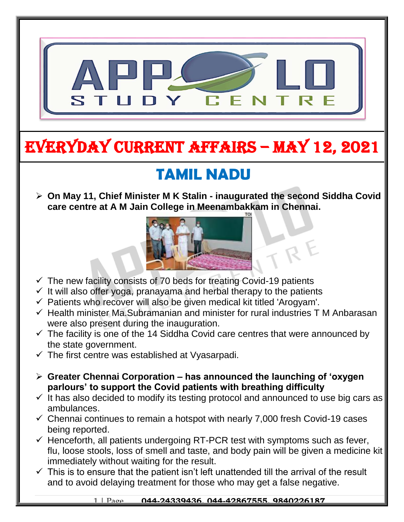

# EVERYDAY CURRENT AFFAIRS – MAY 12, 2021

# **TAMIL NADU**

 **On May 11, Chief Minister M K Stalin - inaugurated the second Siddha Covid care centre at A M Jain College in Meenambakkam in Chennai.**



- $\checkmark$  The new facility consists of 70 beds for treating Covid-19 patients
- $\checkmark$  It will also offer yoga, pranayama and herbal therapy to the patients
- $\checkmark$  Patients who recover will also be given medical kit titled 'Arogyam'.
- $\checkmark$  Health minister Ma.Subramanian and minister for rural industries T M Anbarasan were also present during the inauguration.
- $\checkmark$  The facility is one of the 14 Siddha Covid care centres that were announced by the state government.
- $\checkmark$  The first centre was established at Vyasarpadi.

-

- **Greater Chennai Corporation – has announced the launching of 'oxygen parlours' to support the Covid patients with breathing difficulty**
- $\checkmark$  It has also decided to modify its testing protocol and announced to use big cars as ambulances.
- $\checkmark$  Chennai continues to remain a hotspot with nearly 7,000 fresh Covid-19 cases being reported.
- $\checkmark$  Henceforth, all patients undergoing RT-PCR test with symptoms such as fever, flu, loose stools, loss of smell and taste, and body pain will be given a medicine kit immediately without waiting for the result.
- $\checkmark$  This is to ensure that the patient isn't left unattended till the arrival of the result and to avoid delaying treatment for those who may get a false negative.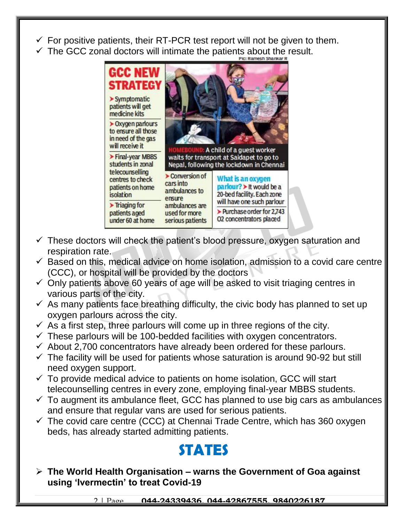- $\checkmark$  For positive patients, their RT-PCR test report will not be given to them.
- The GCC zonal doctors will intimate the patients about the result.



- $\checkmark$  These doctors will check the patient's blood pressure, oxygen saturation and respiration rate.
- $\checkmark$  Based on this, medical advice on home isolation, admission to a covid care centre (CCC), or hospital will be provided by the doctors
- $\checkmark$  Only patients above 60 years of age will be asked to visit triaging centres in various parts of the city.
- $\checkmark$  As many patients face breathing difficulty, the civic body has planned to set up oxygen parlours across the city.
- $\checkmark$  As a first step, three parlours will come up in three regions of the city.
- $\checkmark$  These parlours will be 100-bedded facilities with oxygen concentrators.
- $\checkmark$  About 2,700 concentrators have already been ordered for these parlours.
- $\checkmark$  The facility will be used for patients whose saturation is around 90-92 but still need oxygen support.
- $\checkmark$  To provide medical advice to patients on home isolation, GCC will start telecounselling centres in every zone, employing final-year MBBS students.
- $\checkmark$  To augment its ambulance fleet, GCC has planned to use big cars as ambulances and ensure that regular vans are used for serious patients.
- $\checkmark$  The covid care centre (CCC) at Chennai Trade Centre, which has 360 oxygen beds, has already started admitting patients.

## **STATES**

 **The World Health Organisation – warns the Government of Goa against using 'Ivermectin' to treat Covid-19**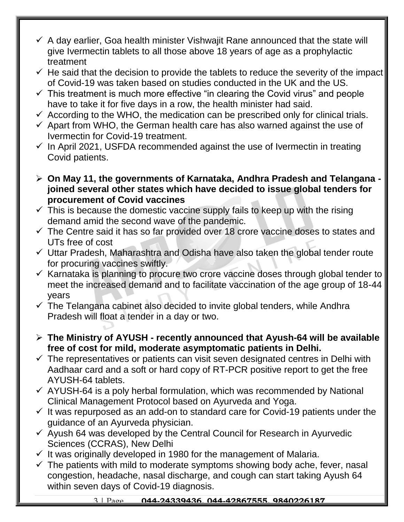- $\checkmark$  A day earlier, Goa health minister Vishwajit Rane announced that the state will give Ivermectin tablets to all those above 18 years of age as a prophylactic treatment
- $\checkmark$  He said that the decision to provide the tablets to reduce the severity of the impact of Covid-19 was taken based on studies conducted in the UK and the US.
- $\checkmark$  This treatment is much more effective "in clearing the Covid virus" and people have to take it for five days in a row, the health minister had said.
- $\checkmark$  According to the WHO, the medication can be prescribed only for clinical trials.
- $\checkmark$  Apart from WHO, the German health care has also warned against the use of Ivermectin for Covid-19 treatment.
- $\checkmark$  In April 2021, USFDA recommended against the use of Ivermectin in treating Covid patients.
- **On May 11, the governments of Karnataka, Andhra Pradesh and Telangana joined several other states which have decided to issue global tenders for procurement of Covid vaccines**
- $\checkmark$  This is because the domestic vaccine supply fails to keep up with the rising demand amid the second wave of the pandemic.
- $\checkmark$  The Centre said it has so far provided over 18 crore vaccine doses to states and UTs free of cost
- $\checkmark$  Uttar Pradesh, Maharashtra and Odisha have also taken the global tender route for procuring vaccines swiftly.
- $\checkmark$  Karnataka is planning to procure two crore vaccine doses through global tender to meet the increased demand and to facilitate vaccination of the age group of 18-44 years
- $\checkmark$  The Telangana cabinet also decided to invite global tenders, while Andhra Pradesh will float a tender in a day or two.
- **The Ministry of AYUSH - recently announced that Ayush-64 will be available free of cost for mild, moderate asymptomatic patients in Delhi.**
- $\checkmark$  The representatives or patients can visit seven designated centres in Delhi with Aadhaar card and a soft or hard copy of RT-PCR positive report to get the free AYUSH-64 tablets.
- $\checkmark$  AYUSH-64 is a poly herbal formulation, which was recommended by National Clinical Management Protocol based on Ayurveda and Yoga.
- $\checkmark$  It was repurposed as an add-on to standard care for Covid-19 patients under the guidance of an Ayurveda physician.
- $\checkmark$  Ayush 64 was developed by the Central Council for Research in Ayurvedic Sciences (CCRAS), New Delhi
- $\checkmark$  It was originally developed in 1980 for the management of Malaria.
- $\checkmark$  The patients with mild to moderate symptoms showing body ache, fever, nasal congestion, headache, nasal discharge, and cough can start taking Ayush 64 within seven days of Covid-19 diagnosis.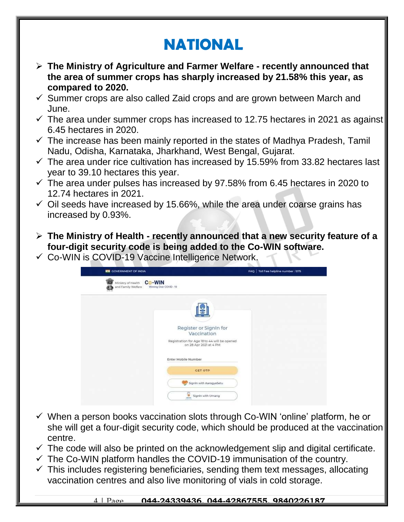# **NATIONAL**

- **The Ministry of Agriculture and Farmer Welfare - recently announced that the area of summer crops has sharply increased by 21.58% this year, as compared to 2020.**
- $\checkmark$  Summer crops are also called Zaid crops and are grown between March and June.
- $\checkmark$  The area under summer crops has increased to 12.75 hectares in 2021 as against 6.45 hectares in 2020.
- $\checkmark$  The increase has been mainly reported in the states of Madhya Pradesh, Tamil Nadu, Odisha, Karnataka, Jharkhand, West Bengal, Gujarat.
- $\checkmark$  The area under rice cultivation has increased by 15.59% from 33.82 hectares last year to 39.10 hectares this year.
- $\checkmark$  The area under pulses has increased by 97.58% from 6.45 hectares in 2020 to 12.74 hectares in 2021.
- $\checkmark$  Oil seeds have increased by 15.66%, while the area under coarse grains has increased by 0.93%.
- **The Ministry of Health - recently announced that a new security feature of a four-digit security code is being added to the Co-WIN software.**
- $\checkmark$  Co-WIN is COVID-19 Vaccine Intelligence Network.

| <b>WHI GOVERNMENT OF INDIA</b>                            | FAQ Toll free helpline number: 1075                                    |  |  |
|-----------------------------------------------------------|------------------------------------------------------------------------|--|--|
| <b>Co-WIN</b><br>Ministry of Health<br>and Family Welfare | Winning Over COVID - 19                                                |  |  |
|                                                           | s                                                                      |  |  |
|                                                           |                                                                        |  |  |
|                                                           | Register or SignIn for<br>Vaccination                                  |  |  |
|                                                           | Registration for Age 18 to 44 will be opened<br>on 28 Apr 2021 at 4 PM |  |  |
|                                                           | Enter Mobile Number                                                    |  |  |
|                                                           | <b>GET OTP</b>                                                         |  |  |
|                                                           | Signin with AarogyaSetu                                                |  |  |
|                                                           | J.<br>Signin with Umang                                                |  |  |

- $\checkmark$  When a person books vaccination slots through Co-WIN 'online' platform, he or she will get a four-digit security code, which should be produced at the vaccination centre.
- $\checkmark$  The code will also be printed on the acknowledgement slip and digital certificate.
- $\checkmark$  The Co-WIN platform handles the COVID-19 immunisation of the country.
- $\checkmark$  This includes registering beneficiaries, sending them text messages, allocating vaccination centres and also live monitoring of vials in cold storage.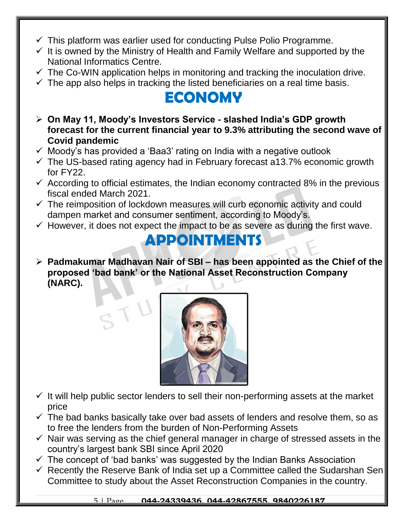- $\checkmark$  This platform was earlier used for conducting Pulse Polio Programme.
- $\checkmark$  It is owned by the Ministry of Health and Family Welfare and supported by the National Informatics Centre.
- $\checkmark$  The Co-WIN application helps in monitoring and tracking the inoculation drive.
- $\checkmark$  The app also helps in tracking the listed beneficiaries on a real time basis.

### **ECONOMY**

- **On May 11, Moody's Investors Service - slashed India's GDP growth forecast for the current financial year to 9.3% attributing the second wave of Covid pandemic**
- $\checkmark$  Moody's has provided a 'Baa3' rating on India with a negative outlook
- $\checkmark$  The US-based rating agency had in February forecast a13.7% economic growth for FY22.
- $\checkmark$  According to official estimates, the Indian economy contracted 8% in the previous fiscal ended March 2021.
- $\checkmark$  The reimposition of lockdown measures will curb economic activity and could dampen market and consumer sentiment, according to Moody's.
- $\checkmark$  However, it does not expect the impact to be as severe as during the first wave.

#### **APPOINTMENTS**

 **Padmakumar Madhavan Nair of SBI – has been appointed as the Chief of the proposed 'bad bank' or the National Asset Reconstruction Company (NARC).**



- $\checkmark$  It will help public sector lenders to sell their non-performing assets at the market price
- $\checkmark$  The bad banks basically take over bad assets of lenders and resolve them, so as to free the lenders from the burden of Non-Performing Assets
- $\checkmark$  Nair was serving as the chief general manager in charge of stressed assets in the country's largest bank SBI since April 2020
- $\checkmark$  The concept of 'bad banks' was suggested by the Indian Banks Association
- $\checkmark$  Recently the Reserve Bank of India set up a Committee called the Sudarshan Sen Committee to study about the Asset Reconstruction Companies in the country.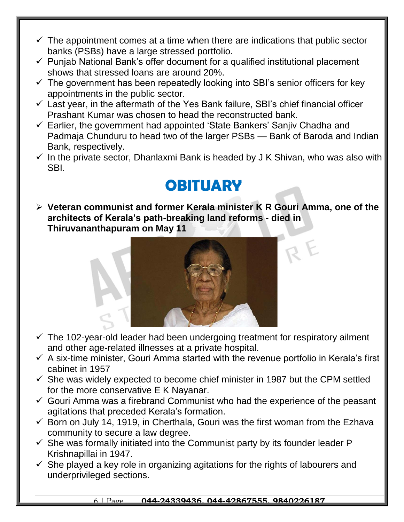- $\checkmark$  The appointment comes at a time when there are indications that public sector banks (PSBs) have a large stressed portfolio.
- $\checkmark$  Punjab National Bank's offer document for a qualified institutional placement shows that stressed loans are around 20%.
- $\checkmark$  The government has been repeatedly looking into SBI's senior officers for key appointments in the public sector.
- $\checkmark$  Last year, in the aftermath of the Yes Bank failure, SBI's chief financial officer Prashant Kumar was chosen to head the reconstructed bank.
- $\checkmark$  Earlier, the government had appointed 'State Bankers' Sanjiv Chadha and Padmaja Chunduru to head two of the larger PSBs — Bank of Baroda and Indian Bank, respectively.
- $\checkmark$  In the private sector, Dhanlaxmi Bank is headed by J K Shivan, who was also with SBI.

### **OBITUARY**

 **Veteran communist and former Kerala minister K R Gouri Amma, one of the architects of Kerala's path-breaking land reforms - died in Thiruvananthapuram on May 11** 



- $\checkmark$  The 102-year-old leader had been undergoing treatment for respiratory ailment and other age-related illnesses at a private hospital.
- $\checkmark$  A six-time minister, Gouri Amma started with the revenue portfolio in Kerala's first cabinet in 1957
- $\checkmark$  She was widely expected to become chief minister in 1987 but the CPM settled for the more conservative E K Nayanar.
- $\checkmark$  Gouri Amma was a firebrand Communist who had the experience of the peasant agitations that preceded Kerala's formation.
- $\checkmark$  Born on July 14, 1919, in Cherthala, Gouri was the first woman from the Ezhava community to secure a law degree.
- $\checkmark$  She was formally initiated into the Communist party by its founder leader P Krishnapillai in 1947.
- $\checkmark$  She played a key role in organizing agitations for the rights of labourers and underprivileged sections.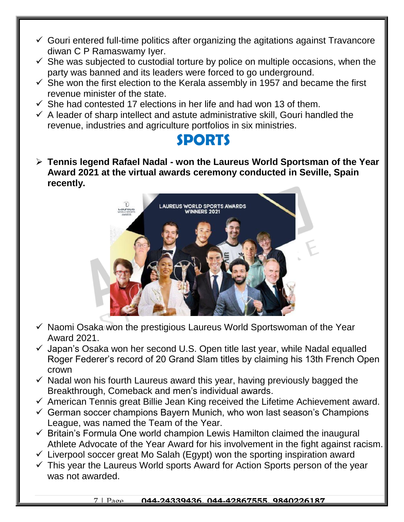- $\checkmark$  Gouri entered full-time politics after organizing the agitations against Travancore diwan C P Ramaswamy Iyer.
- $\checkmark$  She was subjected to custodial torture by police on multiple occasions, when the party was banned and its leaders were forced to go underground.
- $\checkmark$  She won the first election to the Kerala assembly in 1957 and became the first revenue minister of the state.
- $\checkmark$  She had contested 17 elections in her life and had won 13 of them.
- $\checkmark$  A leader of sharp intellect and astute administrative skill, Gouri handled the revenue, industries and agriculture portfolios in six ministries.

#### **SPORTS**

 **Tennis legend Rafael Nadal - won the Laureus World Sportsman of the Year Award 2021 at the virtual awards ceremony conducted in Seville, Spain recently.** 



- $\checkmark$  Naomi Osaka won the prestigious Laureus World Sportswoman of the Year Award 2021.
- $\checkmark$  Japan's Osaka won her second U.S. Open title last year, while Nadal equalled Roger Federer's record of 20 Grand Slam titles by claiming his 13th French Open crown
- $\checkmark$  Nadal won his fourth Laureus award this year, having previously bagged the Breakthrough, Comeback and men's individual awards.
- $\checkmark$  American Tennis great Billie Jean King received the Lifetime Achievement award.
- $\checkmark$  German soccer champions Bayern Munich, who won last season's Champions League, was named the Team of the Year.
- $\checkmark$  Britain's Formula One world champion Lewis Hamilton claimed the inaugural Athlete Advocate of the Year Award for his involvement in the fight against racism.
- $\checkmark$  Liverpool soccer great Mo Salah (Egypt) won the sporting inspiration award
- $\checkmark$  This year the Laureus World sports Award for Action Sports person of the year was not awarded.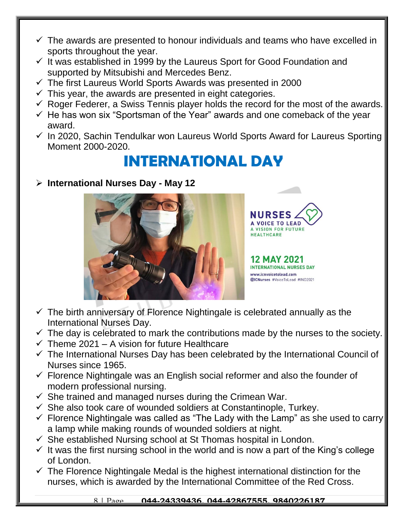- $\checkmark$  The awards are presented to honour individuals and teams who have excelled in sports throughout the year.
- $\checkmark$  It was established in 1999 by the Laureus Sport for Good Foundation and supported by Mitsubishi and Mercedes Benz.
- $\checkmark$  The first Laureus World Sports Awards was presented in 2000
- $\checkmark$  This year, the awards are presented in eight categories.
- $\checkmark$  Roger Federer, a Swiss Tennis player holds the record for the most of the awards.
- $\checkmark$  He has won six "Sportsman of the Year" awards and one comeback of the year award.
- $\checkmark$  In 2020, Sachin Tendulkar won Laureus World Sports Award for Laureus Sporting Moment 2000-2020.

### **INTERNATIONAL DAY**

**International Nurses Day - May 12**



**CE TO LEAD** VISION FOR FUTURE **HEALTHCARE** 

2 MAY 2021 NTERNATIONAL NURSES DAY www.icnvoicetolead.com

@ICNurses #VoiceToLead #IND2021

- $\checkmark$  The birth anniversary of Florence Nightingale is celebrated annually as the International Nurses Day.
- $\checkmark$  The day is celebrated to mark the contributions made by the nurses to the society.
- $\checkmark$  Theme 2021 A vision for future Healthcare
- $\checkmark$  The International Nurses Day has been celebrated by the International Council of Nurses since 1965.
- $\checkmark$  Florence Nightingale was an English social reformer and also the founder of modern professional nursing.
- $\checkmark$  She trained and managed nurses during the Crimean War.
- $\checkmark$  She also took care of wounded soldiers at Constantinople, Turkey.
- $\checkmark$  Florence Nightingale was called as "The Lady with the Lamp" as she used to carry a lamp while making rounds of wounded soldiers at night.
- $\checkmark$  She established Nursing school at St Thomas hospital in London.
- $\checkmark$  It was the first nursing school in the world and is now a part of the King's college of London.
- $\checkmark$  The Florence Nightingale Medal is the highest international distinction for the nurses, which is awarded by the International Committee of the Red Cross.